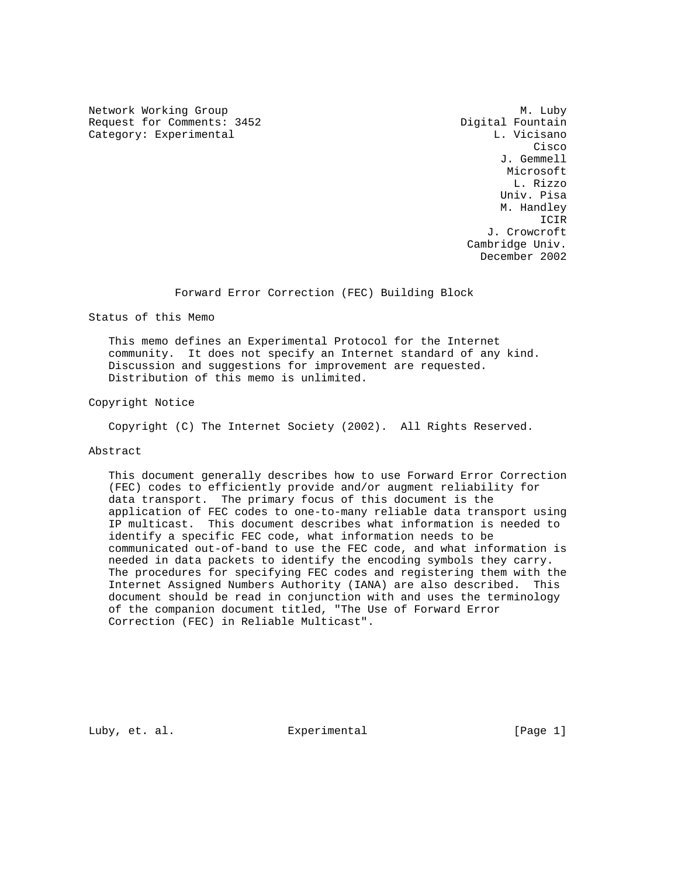Network Working Group Methods and Methods M. Luby Request for Comments: 3452 Digital Fountain Category: Experimental and L. Vicisano

**Cisco de la contrata de la contrata de la contrata de la contrata de la contrata de la contrata de la contrat**  J. Gemmell Microsoft L. Rizzo Univ. Pisa M. Handley ICIR J. Crowcroft Cambridge Univ. December 2002

Forward Error Correction (FEC) Building Block

Status of this Memo

 This memo defines an Experimental Protocol for the Internet community. It does not specify an Internet standard of any kind. Discussion and suggestions for improvement are requested. Distribution of this memo is unlimited.

Copyright Notice

Copyright (C) The Internet Society (2002). All Rights Reserved.

# Abstract

 This document generally describes how to use Forward Error Correction (FEC) codes to efficiently provide and/or augment reliability for data transport. The primary focus of this document is the application of FEC codes to one-to-many reliable data transport using IP multicast. This document describes what information is needed to identify a specific FEC code, what information needs to be communicated out-of-band to use the FEC code, and what information is needed in data packets to identify the encoding symbols they carry. The procedures for specifying FEC codes and registering them with the Internet Assigned Numbers Authority (IANA) are also described. This document should be read in conjunction with and uses the terminology of the companion document titled, "The Use of Forward Error Correction (FEC) in Reliable Multicast".

Luby, et. al.  $\Box$  Experimental  $\Box$  [Page 1]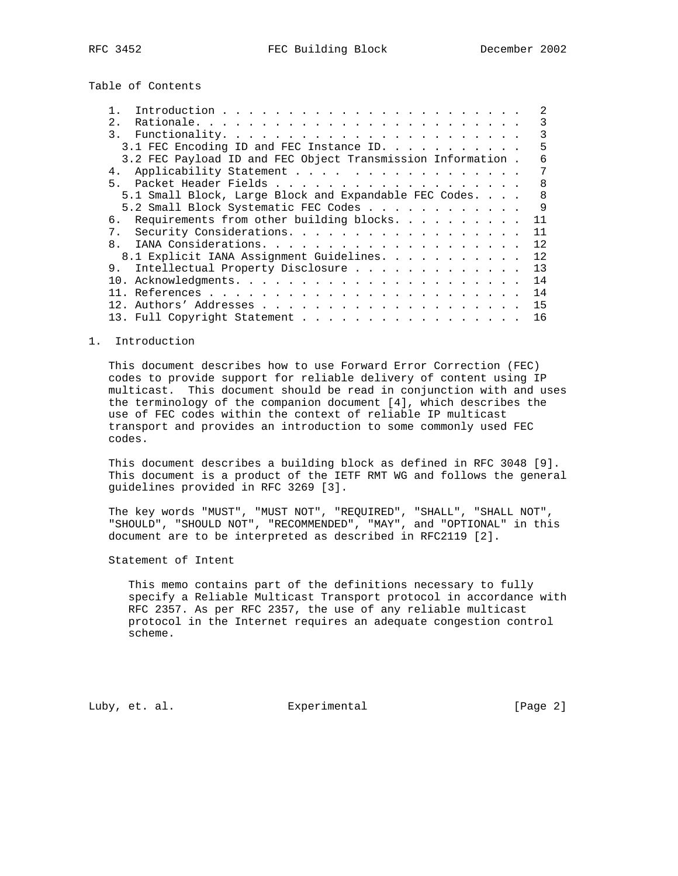Table of Contents

|                                                             | 2            |
|-------------------------------------------------------------|--------------|
| 2.1                                                         | 3            |
|                                                             |              |
| 3.1 FEC Encoding ID and FEC Instance ID.                    | 5            |
| 3.2 FEC Payload ID and FEC Object Transmission Information. |              |
| Applicability Statement<br>4.                               |              |
| 5 <sub>1</sub>                                              | 8            |
| 5.1 Small Block, Large Block and Expandable FEC Codes       | $\mathsf{R}$ |
| 5.2 Small Block Systematic FEC Codes                        | 9            |
| 6. Requirements from other building blocks.                 | 11           |
| 7. Security Considerations.                                 | 11           |
| 8.                                                          | 12           |
| 8.1 Explicit IANA Assignment Guidelines.                    | 12           |
| 9. Intellectual Property Disclosure                         | 13           |
|                                                             | 14           |
|                                                             | 14           |
|                                                             | 15           |
| 13. Full Copyright Statement                                | 16           |

### 1. Introduction

 This document describes how to use Forward Error Correction (FEC) codes to provide support for reliable delivery of content using IP multicast. This document should be read in conjunction with and uses the terminology of the companion document [4], which describes the use of FEC codes within the context of reliable IP multicast transport and provides an introduction to some commonly used FEC codes.

 This document describes a building block as defined in RFC 3048 [9]. This document is a product of the IETF RMT WG and follows the general guidelines provided in RFC 3269 [3].

 The key words "MUST", "MUST NOT", "REQUIRED", "SHALL", "SHALL NOT", "SHOULD", "SHOULD NOT", "RECOMMENDED", "MAY", and "OPTIONAL" in this document are to be interpreted as described in RFC2119 [2].

Statement of Intent

 This memo contains part of the definitions necessary to fully specify a Reliable Multicast Transport protocol in accordance with RFC 2357. As per RFC 2357, the use of any reliable multicast protocol in the Internet requires an adequate congestion control scheme.

Luby, et. al. Subsectimental Experimental [Page 2]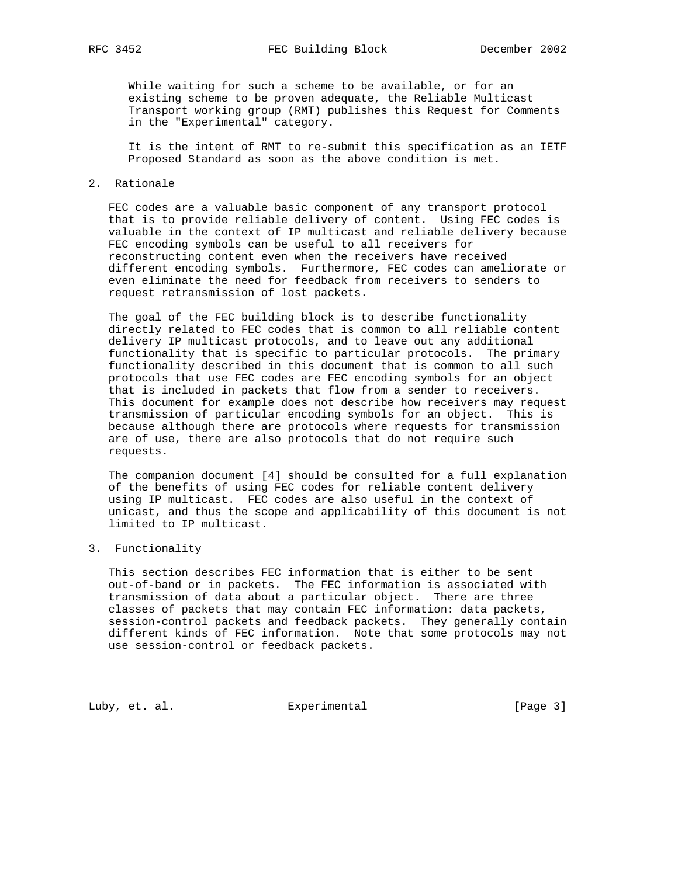While waiting for such a scheme to be available, or for an existing scheme to be proven adequate, the Reliable Multicast Transport working group (RMT) publishes this Request for Comments in the "Experimental" category.

 It is the intent of RMT to re-submit this specification as an IETF Proposed Standard as soon as the above condition is met.

## 2. Rationale

 FEC codes are a valuable basic component of any transport protocol that is to provide reliable delivery of content. Using FEC codes is valuable in the context of IP multicast and reliable delivery because FEC encoding symbols can be useful to all receivers for reconstructing content even when the receivers have received different encoding symbols. Furthermore, FEC codes can ameliorate or even eliminate the need for feedback from receivers to senders to request retransmission of lost packets.

 The goal of the FEC building block is to describe functionality directly related to FEC codes that is common to all reliable content delivery IP multicast protocols, and to leave out any additional functionality that is specific to particular protocols. The primary functionality described in this document that is common to all such protocols that use FEC codes are FEC encoding symbols for an object that is included in packets that flow from a sender to receivers. This document for example does not describe how receivers may request transmission of particular encoding symbols for an object. This is because although there are protocols where requests for transmission are of use, there are also protocols that do not require such requests.

 The companion document [4] should be consulted for a full explanation of the benefits of using FEC codes for reliable content delivery using IP multicast. FEC codes are also useful in the context of unicast, and thus the scope and applicability of this document is not limited to IP multicast.

# 3. Functionality

 This section describes FEC information that is either to be sent out-of-band or in packets. The FEC information is associated with transmission of data about a particular object. There are three classes of packets that may contain FEC information: data packets, session-control packets and feedback packets. They generally contain different kinds of FEC information. Note that some protocols may not use session-control or feedback packets.

Luby, et. al. Experimental [Page 3]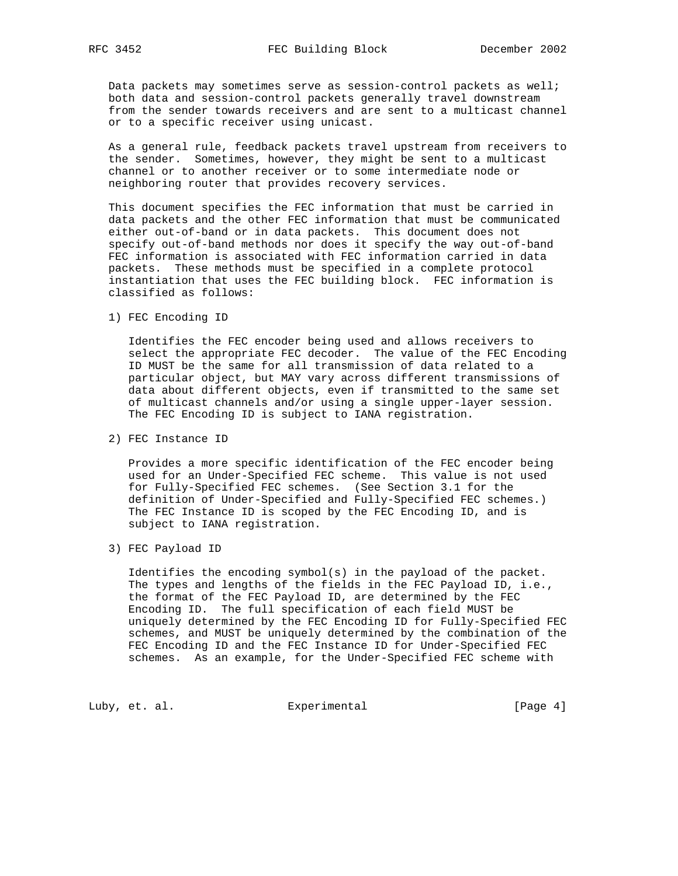Data packets may sometimes serve as session-control packets as well; both data and session-control packets generally travel downstream from the sender towards receivers and are sent to a multicast channel or to a specific receiver using unicast.

 As a general rule, feedback packets travel upstream from receivers to the sender. Sometimes, however, they might be sent to a multicast channel or to another receiver or to some intermediate node or neighboring router that provides recovery services.

 This document specifies the FEC information that must be carried in data packets and the other FEC information that must be communicated either out-of-band or in data packets. This document does not specify out-of-band methods nor does it specify the way out-of-band FEC information is associated with FEC information carried in data packets. These methods must be specified in a complete protocol instantiation that uses the FEC building block. FEC information is classified as follows:

1) FEC Encoding ID

 Identifies the FEC encoder being used and allows receivers to select the appropriate FEC decoder. The value of the FEC Encoding ID MUST be the same for all transmission of data related to a particular object, but MAY vary across different transmissions of data about different objects, even if transmitted to the same set of multicast channels and/or using a single upper-layer session. The FEC Encoding ID is subject to IANA registration.

2) FEC Instance ID

 Provides a more specific identification of the FEC encoder being used for an Under-Specified FEC scheme. This value is not used for Fully-Specified FEC schemes. (See Section 3.1 for the definition of Under-Specified and Fully-Specified FEC schemes.) The FEC Instance ID is scoped by the FEC Encoding ID, and is subject to IANA registration.

3) FEC Payload ID

 Identifies the encoding symbol(s) in the payload of the packet. The types and lengths of the fields in the FEC Payload ID, i.e., the format of the FEC Payload ID, are determined by the FEC Encoding ID. The full specification of each field MUST be uniquely determined by the FEC Encoding ID for Fully-Specified FEC schemes, and MUST be uniquely determined by the combination of the FEC Encoding ID and the FEC Instance ID for Under-Specified FEC schemes. As an example, for the Under-Specified FEC scheme with

Luby, et. al. Experimental [Page 4]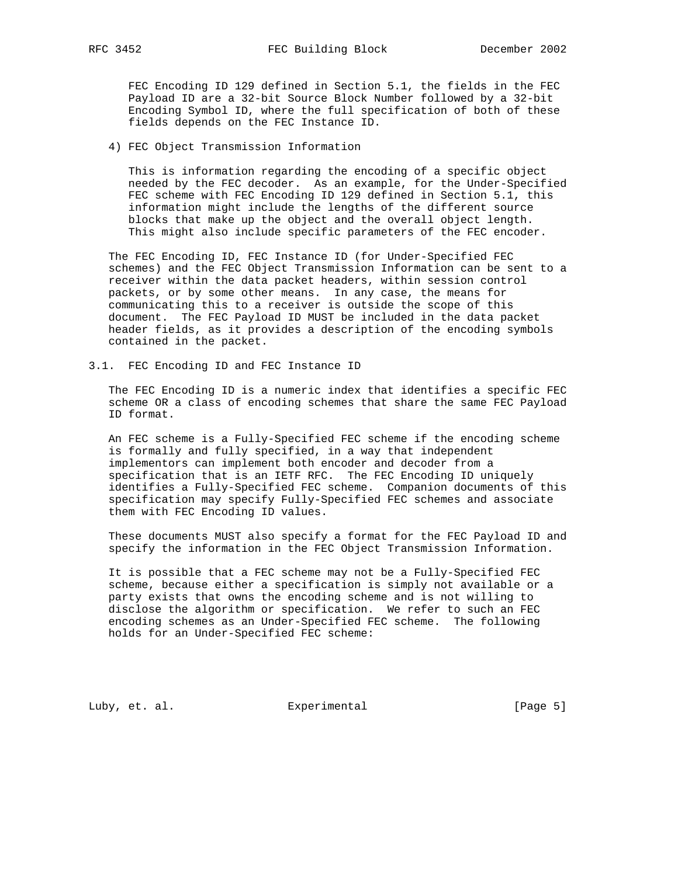FEC Encoding ID 129 defined in Section 5.1, the fields in the FEC Payload ID are a 32-bit Source Block Number followed by a 32-bit Encoding Symbol ID, where the full specification of both of these fields depends on the FEC Instance ID.

4) FEC Object Transmission Information

 This is information regarding the encoding of a specific object needed by the FEC decoder. As an example, for the Under-Specified FEC scheme with FEC Encoding ID 129 defined in Section 5.1, this information might include the lengths of the different source blocks that make up the object and the overall object length. This might also include specific parameters of the FEC encoder.

 The FEC Encoding ID, FEC Instance ID (for Under-Specified FEC schemes) and the FEC Object Transmission Information can be sent to a receiver within the data packet headers, within session control packets, or by some other means. In any case, the means for communicating this to a receiver is outside the scope of this document. The FEC Payload ID MUST be included in the data packet header fields, as it provides a description of the encoding symbols contained in the packet.

3.1. FEC Encoding ID and FEC Instance ID

 The FEC Encoding ID is a numeric index that identifies a specific FEC scheme OR a class of encoding schemes that share the same FEC Payload ID format.

 An FEC scheme is a Fully-Specified FEC scheme if the encoding scheme is formally and fully specified, in a way that independent implementors can implement both encoder and decoder from a specification that is an IETF RFC. The FEC Encoding ID uniquely identifies a Fully-Specified FEC scheme. Companion documents of this specification may specify Fully-Specified FEC schemes and associate them with FEC Encoding ID values.

 These documents MUST also specify a format for the FEC Payload ID and specify the information in the FEC Object Transmission Information.

 It is possible that a FEC scheme may not be a Fully-Specified FEC scheme, because either a specification is simply not available or a party exists that owns the encoding scheme and is not willing to disclose the algorithm or specification. We refer to such an FEC encoding schemes as an Under-Specified FEC scheme. The following holds for an Under-Specified FEC scheme:

Luby, et. al. Experimental [Page 5]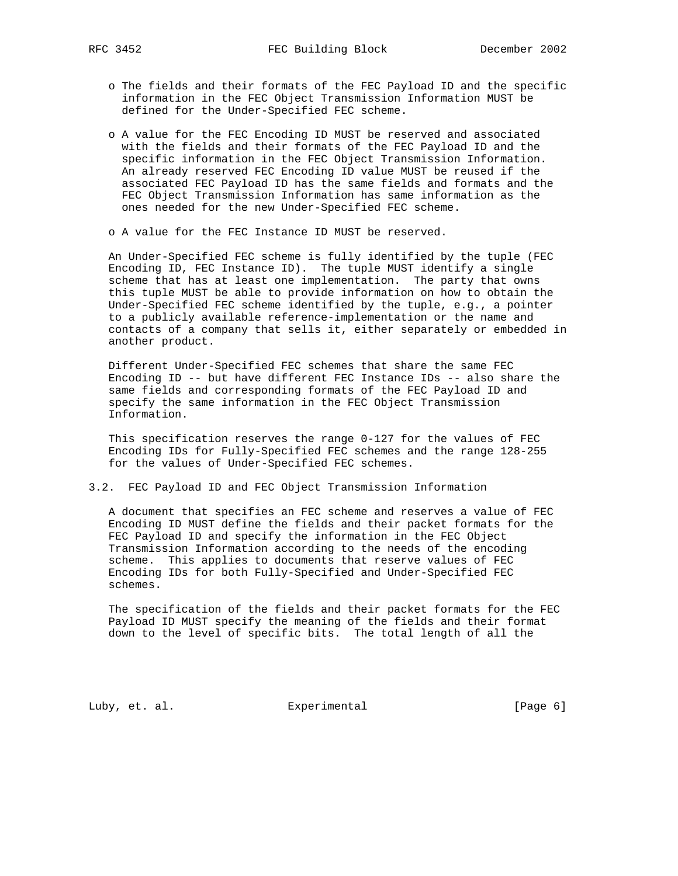- o The fields and their formats of the FEC Payload ID and the specific information in the FEC Object Transmission Information MUST be defined for the Under-Specified FEC scheme.
- o A value for the FEC Encoding ID MUST be reserved and associated with the fields and their formats of the FEC Payload ID and the specific information in the FEC Object Transmission Information. An already reserved FEC Encoding ID value MUST be reused if the associated FEC Payload ID has the same fields and formats and the FEC Object Transmission Information has same information as the ones needed for the new Under-Specified FEC scheme.
- o A value for the FEC Instance ID MUST be reserved.

 An Under-Specified FEC scheme is fully identified by the tuple (FEC Encoding ID, FEC Instance ID). The tuple MUST identify a single scheme that has at least one implementation. The party that owns this tuple MUST be able to provide information on how to obtain the Under-Specified FEC scheme identified by the tuple, e.g., a pointer to a publicly available reference-implementation or the name and contacts of a company that sells it, either separately or embedded in another product.

 Different Under-Specified FEC schemes that share the same FEC Encoding ID -- but have different FEC Instance IDs -- also share the same fields and corresponding formats of the FEC Payload ID and specify the same information in the FEC Object Transmission Information.

 This specification reserves the range 0-127 for the values of FEC Encoding IDs for Fully-Specified FEC schemes and the range 128-255 for the values of Under-Specified FEC schemes.

3.2. FEC Payload ID and FEC Object Transmission Information

 A document that specifies an FEC scheme and reserves a value of FEC Encoding ID MUST define the fields and their packet formats for the FEC Payload ID and specify the information in the FEC Object Transmission Information according to the needs of the encoding scheme. This applies to documents that reserve values of FEC Encoding IDs for both Fully-Specified and Under-Specified FEC schemes.

 The specification of the fields and their packet formats for the FEC Payload ID MUST specify the meaning of the fields and their format down to the level of specific bits. The total length of all the

Luby, et. al. Subsectimental Experimental [Page 6]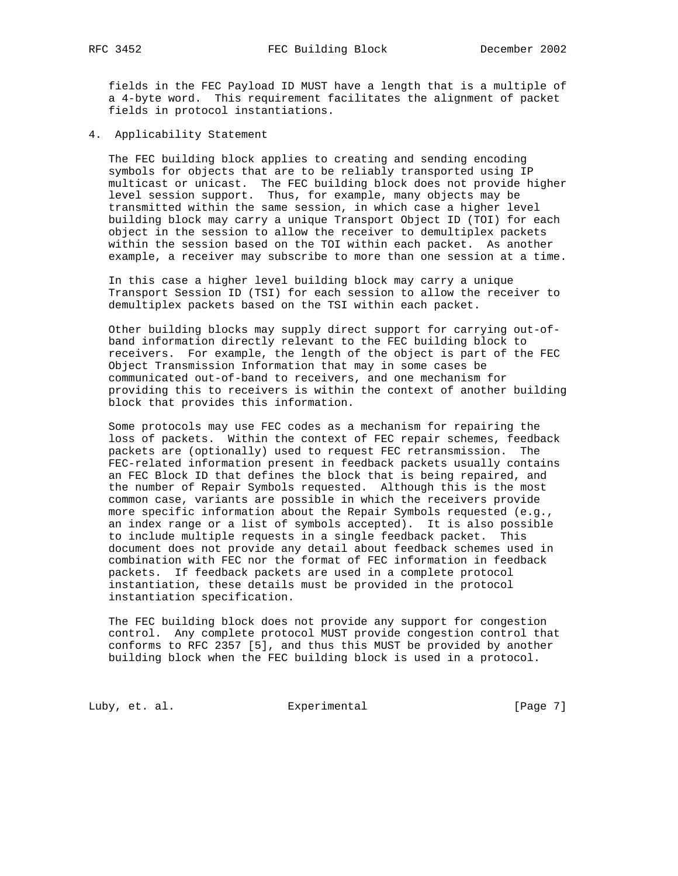fields in the FEC Payload ID MUST have a length that is a multiple of a 4-byte word. This requirement facilitates the alignment of packet fields in protocol instantiations.

4. Applicability Statement

 The FEC building block applies to creating and sending encoding symbols for objects that are to be reliably transported using IP multicast or unicast. The FEC building block does not provide higher level session support. Thus, for example, many objects may be transmitted within the same session, in which case a higher level building block may carry a unique Transport Object ID (TOI) for each object in the session to allow the receiver to demultiplex packets within the session based on the TOI within each packet. As another example, a receiver may subscribe to more than one session at a time.

 In this case a higher level building block may carry a unique Transport Session ID (TSI) for each session to allow the receiver to demultiplex packets based on the TSI within each packet.

 Other building blocks may supply direct support for carrying out-of band information directly relevant to the FEC building block to receivers. For example, the length of the object is part of the FEC Object Transmission Information that may in some cases be communicated out-of-band to receivers, and one mechanism for providing this to receivers is within the context of another building block that provides this information.

 Some protocols may use FEC codes as a mechanism for repairing the loss of packets. Within the context of FEC repair schemes, feedback packets are (optionally) used to request FEC retransmission. The FEC-related information present in feedback packets usually contains an FEC Block ID that defines the block that is being repaired, and the number of Repair Symbols requested. Although this is the most common case, variants are possible in which the receivers provide more specific information about the Repair Symbols requested (e.g., an index range or a list of symbols accepted). It is also possible to include multiple requests in a single feedback packet. This document does not provide any detail about feedback schemes used in combination with FEC nor the format of FEC information in feedback packets. If feedback packets are used in a complete protocol instantiation, these details must be provided in the protocol instantiation specification.

 The FEC building block does not provide any support for congestion control. Any complete protocol MUST provide congestion control that conforms to RFC 2357 [5], and thus this MUST be provided by another building block when the FEC building block is used in a protocol.

Luby, et. al. Experimental [Page 7]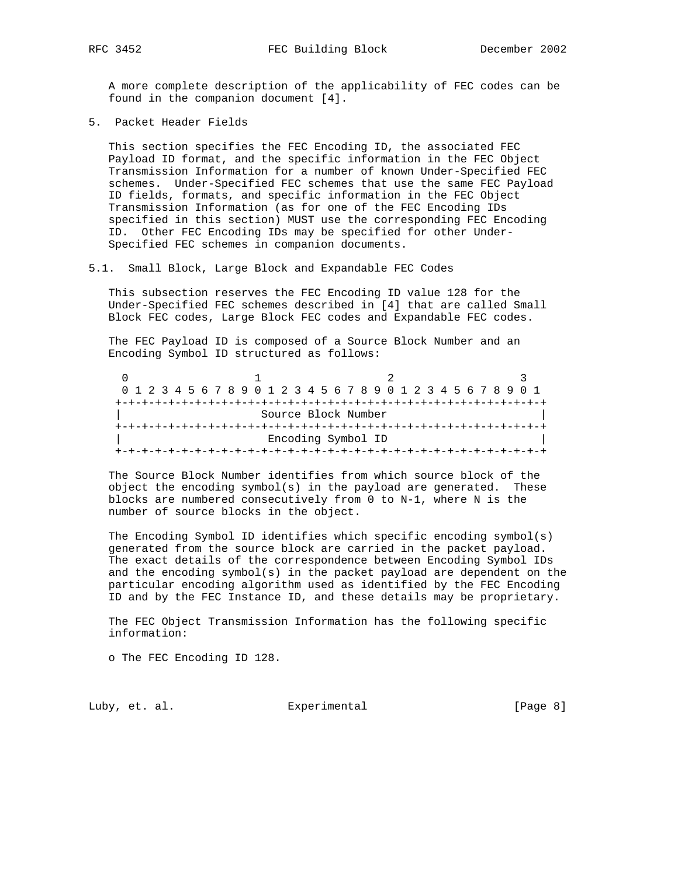A more complete description of the applicability of FEC codes can be found in the companion document [4].

5. Packet Header Fields

 This section specifies the FEC Encoding ID, the associated FEC Payload ID format, and the specific information in the FEC Object Transmission Information for a number of known Under-Specified FEC schemes. Under-Specified FEC schemes that use the same FEC Payload ID fields, formats, and specific information in the FEC Object Transmission Information (as for one of the FEC Encoding IDs specified in this section) MUST use the corresponding FEC Encoding ID. Other FEC Encoding IDs may be specified for other Under- Specified FEC schemes in companion documents.

5.1. Small Block, Large Block and Expandable FEC Codes

 This subsection reserves the FEC Encoding ID value 128 for the Under-Specified FEC schemes described in [4] that are called Small Block FEC codes, Large Block FEC codes and Expandable FEC codes.

 The FEC Payload ID is composed of a Source Block Number and an Encoding Symbol ID structured as follows:

|                     |  |  |  |  |  |  |  |  |  |  |  |  |  |  |  |                    |  |  | 0 1 2 3 4 5 6 7 8 9 0 1 2 3 4 5 6 7 8 9 0 1 2 3 4 5 6 7 8 9 0 1 |  |  |  |  |  |  |  |  |  |
|---------------------|--|--|--|--|--|--|--|--|--|--|--|--|--|--|--|--------------------|--|--|-----------------------------------------------------------------|--|--|--|--|--|--|--|--|--|
|                     |  |  |  |  |  |  |  |  |  |  |  |  |  |  |  |                    |  |  |                                                                 |  |  |  |  |  |  |  |  |  |
| Source Block Number |  |  |  |  |  |  |  |  |  |  |  |  |  |  |  |                    |  |  |                                                                 |  |  |  |  |  |  |  |  |  |
|                     |  |  |  |  |  |  |  |  |  |  |  |  |  |  |  |                    |  |  |                                                                 |  |  |  |  |  |  |  |  |  |
|                     |  |  |  |  |  |  |  |  |  |  |  |  |  |  |  | Encoding Symbol ID |  |  |                                                                 |  |  |  |  |  |  |  |  |  |
|                     |  |  |  |  |  |  |  |  |  |  |  |  |  |  |  |                    |  |  |                                                                 |  |  |  |  |  |  |  |  |  |

 The Source Block Number identifies from which source block of the object the encoding symbol(s) in the payload are generated. These blocks are numbered consecutively from 0 to N-1, where N is the number of source blocks in the object.

 The Encoding Symbol ID identifies which specific encoding symbol(s) generated from the source block are carried in the packet payload. The exact details of the correspondence between Encoding Symbol IDs and the encoding symbol(s) in the packet payload are dependent on the particular encoding algorithm used as identified by the FEC Encoding ID and by the FEC Instance ID, and these details may be proprietary.

 The FEC Object Transmission Information has the following specific information:

o The FEC Encoding ID 128.

Luby, et. al. Subsectimental Experimental [Page 8]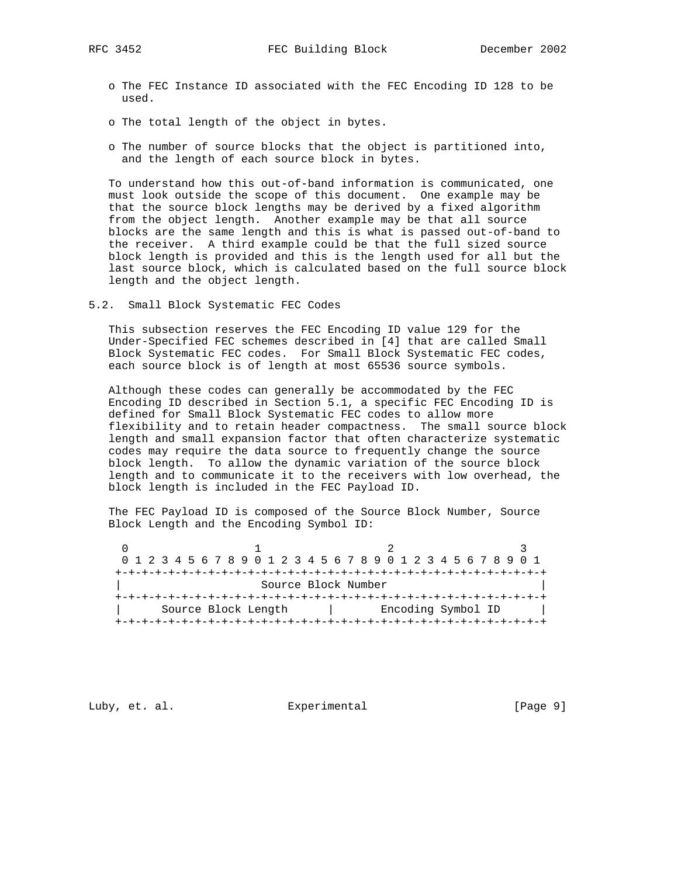RFC 3452 FEC Building Block December 2002

- o The FEC Instance ID associated with the FEC Encoding ID 128 to be used.
- o The total length of the object in bytes.
- o The number of source blocks that the object is partitioned into, and the length of each source block in bytes.

 To understand how this out-of-band information is communicated, one must look outside the scope of this document. One example may be that the source block lengths may be derived by a fixed algorithm from the object length. Another example may be that all source blocks are the same length and this is what is passed out-of-band to the receiver. A third example could be that the full sized source block length is provided and this is the length used for all but the last source block, which is calculated based on the full source block length and the object length.

5.2. Small Block Systematic FEC Codes

 This subsection reserves the FEC Encoding ID value 129 for the Under-Specified FEC schemes described in [4] that are called Small Block Systematic FEC codes. For Small Block Systematic FEC codes, each source block is of length at most 65536 source symbols.

 Although these codes can generally be accommodated by the FEC Encoding ID described in Section 5.1, a specific FEC Encoding ID is defined for Small Block Systematic FEC codes to allow more flexibility and to retain header compactness. The small source block length and small expansion factor that often characterize systematic codes may require the data source to frequently change the source block length. To allow the dynamic variation of the source block length and to communicate it to the receivers with low overhead, the block length is included in the FEC Payload ID.

 The FEC Payload ID is composed of the Source Block Number, Source Block Length and the Encoding Symbol ID:

| 0 1 2 3 4 5 6 7 8 9 0 1 2 3 4 5 6 7 8 9 0 1 2 3 4 5 6 7 8 9 0 1 |                                           |  |  |  |  |  |  |  |  |  |  |  |  |  |  |  |  |  |  |  |  |  |  |  |  |  |  |
|-----------------------------------------------------------------|-------------------------------------------|--|--|--|--|--|--|--|--|--|--|--|--|--|--|--|--|--|--|--|--|--|--|--|--|--|--|
|                                                                 |                                           |  |  |  |  |  |  |  |  |  |  |  |  |  |  |  |  |  |  |  |  |  |  |  |  |  |  |
|                                                                 | Source Block Number                       |  |  |  |  |  |  |  |  |  |  |  |  |  |  |  |  |  |  |  |  |  |  |  |  |  |  |
|                                                                 |                                           |  |  |  |  |  |  |  |  |  |  |  |  |  |  |  |  |  |  |  |  |  |  |  |  |  |  |
|                                                                 | Encoding Symbol ID<br>Source Block Length |  |  |  |  |  |  |  |  |  |  |  |  |  |  |  |  |  |  |  |  |  |  |  |  |  |  |
|                                                                 |                                           |  |  |  |  |  |  |  |  |  |  |  |  |  |  |  |  |  |  |  |  |  |  |  |  |  |  |

Luby, et. al. Subsectimental Experimental [Page 9]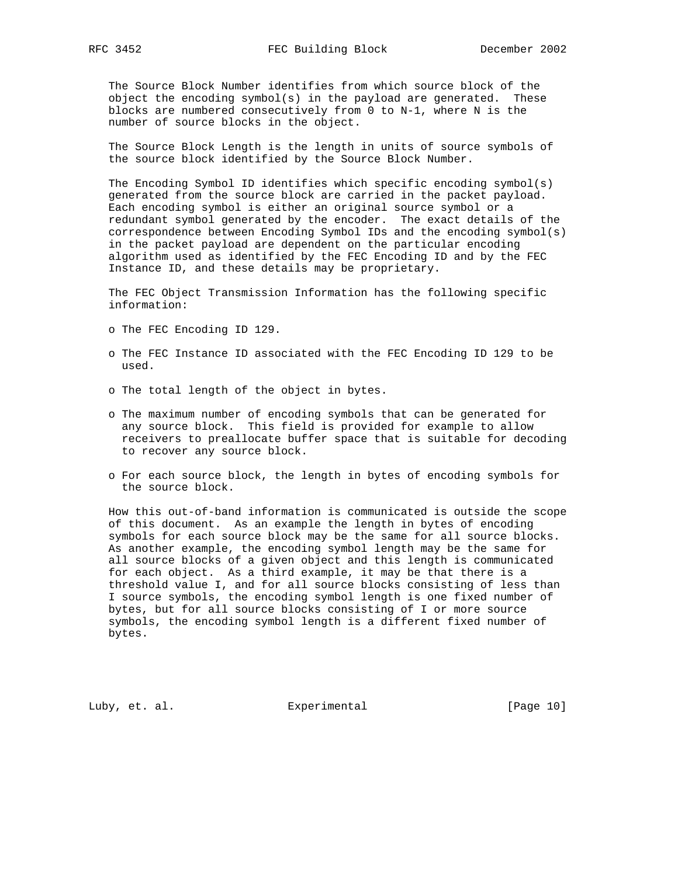The Source Block Number identifies from which source block of the object the encoding symbol(s) in the payload are generated. These blocks are numbered consecutively from 0 to N-1, where N is the number of source blocks in the object.

 The Source Block Length is the length in units of source symbols of the source block identified by the Source Block Number.

 The Encoding Symbol ID identifies which specific encoding symbol(s) generated from the source block are carried in the packet payload. Each encoding symbol is either an original source symbol or a redundant symbol generated by the encoder. The exact details of the correspondence between Encoding Symbol IDs and the encoding symbol(s) in the packet payload are dependent on the particular encoding algorithm used as identified by the FEC Encoding ID and by the FEC Instance ID, and these details may be proprietary.

 The FEC Object Transmission Information has the following specific information:

- o The FEC Encoding ID 129.
- o The FEC Instance ID associated with the FEC Encoding ID 129 to be used.
- o The total length of the object in bytes.
- o The maximum number of encoding symbols that can be generated for any source block. This field is provided for example to allow receivers to preallocate buffer space that is suitable for decoding to recover any source block.
- o For each source block, the length in bytes of encoding symbols for the source block.

 How this out-of-band information is communicated is outside the scope of this document. As an example the length in bytes of encoding symbols for each source block may be the same for all source blocks. As another example, the encoding symbol length may be the same for all source blocks of a given object and this length is communicated for each object. As a third example, it may be that there is a threshold value I, and for all source blocks consisting of less than I source symbols, the encoding symbol length is one fixed number of bytes, but for all source blocks consisting of I or more source symbols, the encoding symbol length is a different fixed number of bytes.

Luby, et. al. Subsectimental Experimental [Page 10]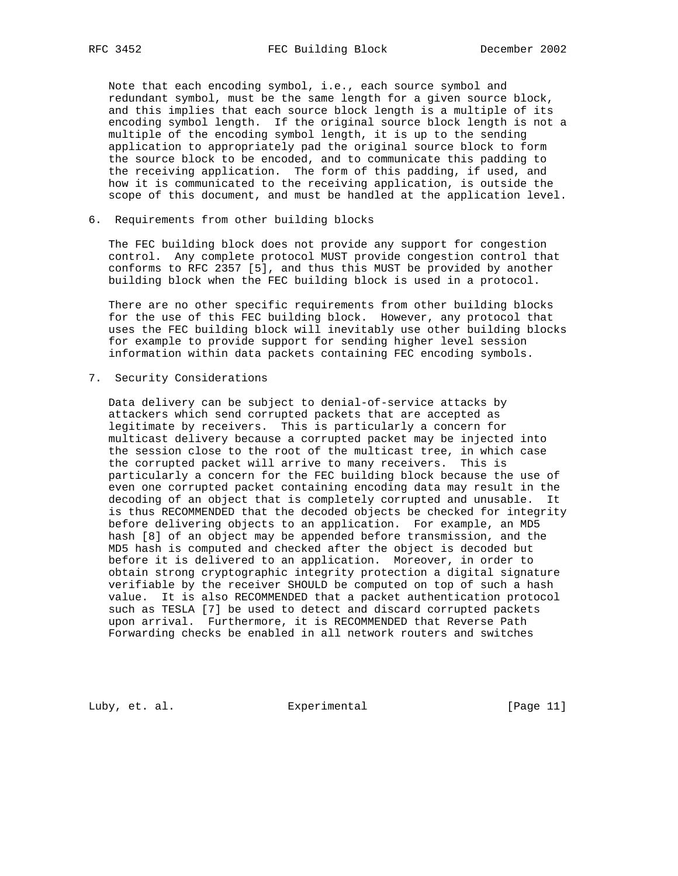Note that each encoding symbol, i.e., each source symbol and redundant symbol, must be the same length for a given source block, and this implies that each source block length is a multiple of its encoding symbol length. If the original source block length is not a multiple of the encoding symbol length, it is up to the sending application to appropriately pad the original source block to form the source block to be encoded, and to communicate this padding to the receiving application. The form of this padding, if used, and how it is communicated to the receiving application, is outside the scope of this document, and must be handled at the application level.

6. Requirements from other building blocks

 The FEC building block does not provide any support for congestion control. Any complete protocol MUST provide congestion control that conforms to RFC 2357 [5], and thus this MUST be provided by another building block when the FEC building block is used in a protocol.

 There are no other specific requirements from other building blocks for the use of this FEC building block. However, any protocol that uses the FEC building block will inevitably use other building blocks for example to provide support for sending higher level session information within data packets containing FEC encoding symbols.

7. Security Considerations

 Data delivery can be subject to denial-of-service attacks by attackers which send corrupted packets that are accepted as legitimate by receivers. This is particularly a concern for multicast delivery because a corrupted packet may be injected into the session close to the root of the multicast tree, in which case the corrupted packet will arrive to many receivers. This is particularly a concern for the FEC building block because the use of even one corrupted packet containing encoding data may result in the decoding of an object that is completely corrupted and unusable. It is thus RECOMMENDED that the decoded objects be checked for integrity before delivering objects to an application. For example, an MD5 hash [8] of an object may be appended before transmission, and the MD5 hash is computed and checked after the object is decoded but before it is delivered to an application. Moreover, in order to obtain strong cryptographic integrity protection a digital signature verifiable by the receiver SHOULD be computed on top of such a hash value. It is also RECOMMENDED that a packet authentication protocol such as TESLA [7] be used to detect and discard corrupted packets upon arrival. Furthermore, it is RECOMMENDED that Reverse Path Forwarding checks be enabled in all network routers and switches

Luby, et. al. Experimental [Page 11]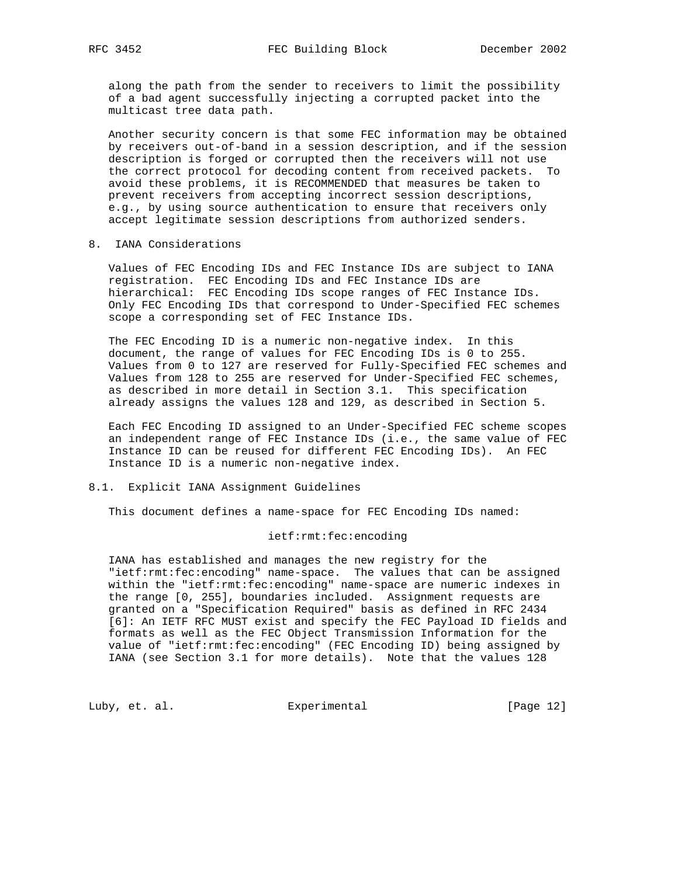along the path from the sender to receivers to limit the possibility of a bad agent successfully injecting a corrupted packet into the multicast tree data path.

 Another security concern is that some FEC information may be obtained by receivers out-of-band in a session description, and if the session description is forged or corrupted then the receivers will not use the correct protocol for decoding content from received packets. To avoid these problems, it is RECOMMENDED that measures be taken to prevent receivers from accepting incorrect session descriptions, e.g., by using source authentication to ensure that receivers only accept legitimate session descriptions from authorized senders.

8. IANA Considerations

 Values of FEC Encoding IDs and FEC Instance IDs are subject to IANA registration. FEC Encoding IDs and FEC Instance IDs are hierarchical: FEC Encoding IDs scope ranges of FEC Instance IDs. Only FEC Encoding IDs that correspond to Under-Specified FEC schemes scope a corresponding set of FEC Instance IDs.

 The FEC Encoding ID is a numeric non-negative index. In this document, the range of values for FEC Encoding IDs is 0 to 255. Values from 0 to 127 are reserved for Fully-Specified FEC schemes and Values from 128 to 255 are reserved for Under-Specified FEC schemes, as described in more detail in Section 3.1. This specification already assigns the values 128 and 129, as described in Section 5.

 Each FEC Encoding ID assigned to an Under-Specified FEC scheme scopes an independent range of FEC Instance IDs (i.e., the same value of FEC Instance ID can be reused for different FEC Encoding IDs). An FEC Instance ID is a numeric non-negative index.

# 8.1. Explicit IANA Assignment Guidelines

This document defines a name-space for FEC Encoding IDs named:

#### ietf:rmt:fec:encoding

 IANA has established and manages the new registry for the "ietf:rmt:fec:encoding" name-space. The values that can be assigned within the "ietf:rmt:fec:encoding" name-space are numeric indexes in the range [0, 255], boundaries included. Assignment requests are granted on a "Specification Required" basis as defined in RFC 2434 [6]: An IETF RFC MUST exist and specify the FEC Payload ID fields and formats as well as the FEC Object Transmission Information for the value of "ietf:rmt:fec:encoding" (FEC Encoding ID) being assigned by IANA (see Section 3.1 for more details). Note that the values 128

Luby, et. al. Experimental [Page 12]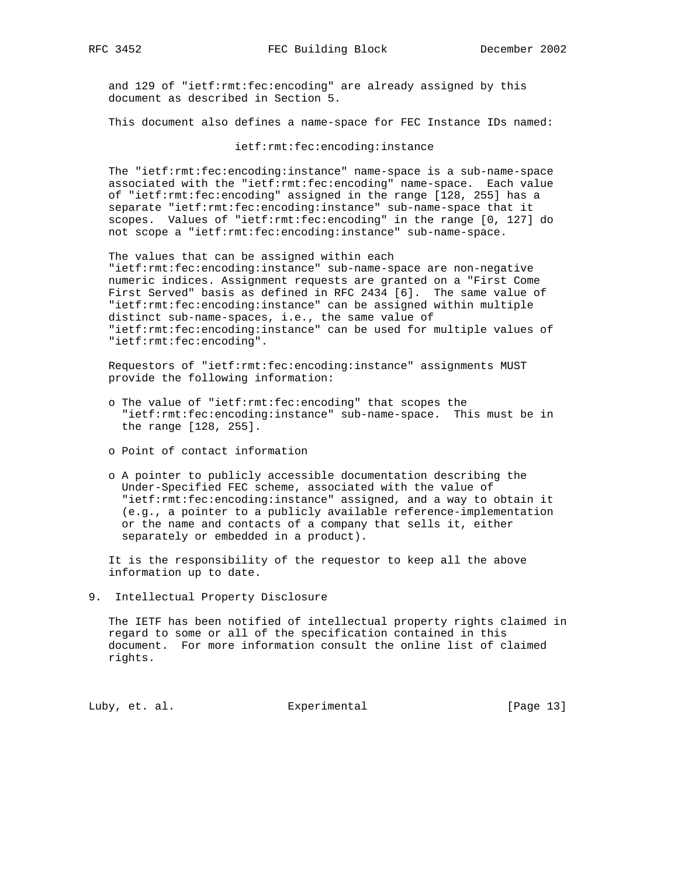and 129 of "ietf:rmt:fec:encoding" are already assigned by this document as described in Section 5.

This document also defines a name-space for FEC Instance IDs named:

### ietf:rmt:fec:encoding:instance

 The "ietf:rmt:fec:encoding:instance" name-space is a sub-name-space associated with the "ietf:rmt:fec:encoding" name-space. Each value of "ietf:rmt:fec:encoding" assigned in the range [128, 255] has a separate "ietf:rmt:fec:encoding:instance" sub-name-space that it scopes. Values of "ietf:rmt:fec:encoding" in the range [0, 127] do not scope a "ietf:rmt:fec:encoding:instance" sub-name-space.

 The values that can be assigned within each "ietf:rmt:fec:encoding:instance" sub-name-space are non-negative numeric indices. Assignment requests are granted on a "First Come First Served" basis as defined in RFC 2434 [6]. The same value of "ietf:rmt:fec:encoding:instance" can be assigned within multiple distinct sub-name-spaces, i.e., the same value of "ietf:rmt:fec:encoding:instance" can be used for multiple values of "ietf:rmt:fec:encoding".

 Requestors of "ietf:rmt:fec:encoding:instance" assignments MUST provide the following information:

- o The value of "ietf:rmt:fec:encoding" that scopes the "ietf:rmt:fec:encoding:instance" sub-name-space. This must be in the range [128, 255].
- o Point of contact information
- o A pointer to publicly accessible documentation describing the Under-Specified FEC scheme, associated with the value of "ietf:rmt:fec:encoding:instance" assigned, and a way to obtain it (e.g., a pointer to a publicly available reference-implementation or the name and contacts of a company that sells it, either separately or embedded in a product).

 It is the responsibility of the requestor to keep all the above information up to date.

9. Intellectual Property Disclosure

 The IETF has been notified of intellectual property rights claimed in regard to some or all of the specification contained in this document. For more information consult the online list of claimed rights.

Luby, et. al. Subsectimental Experimental [Page 13]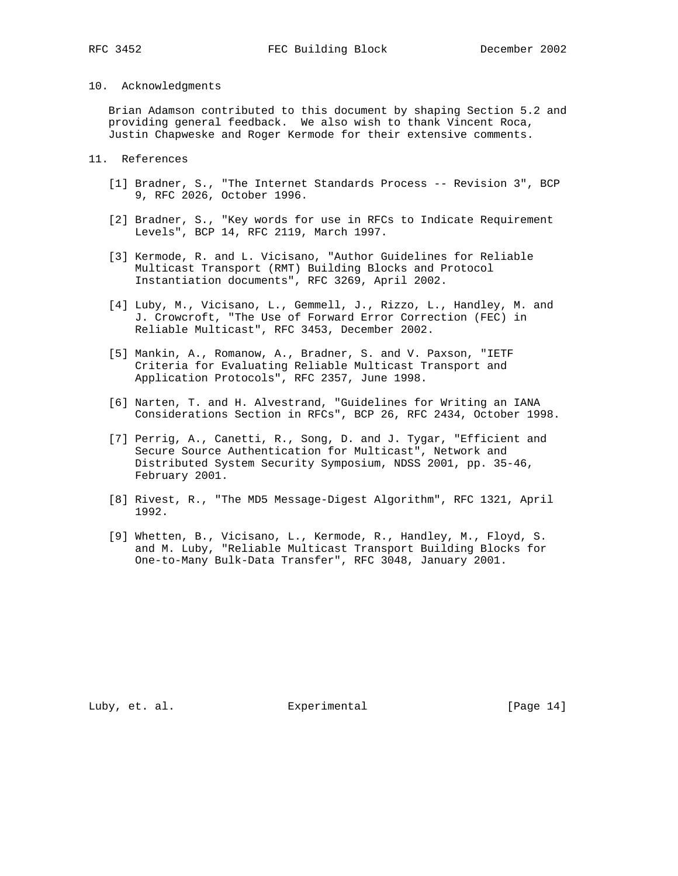# 10. Acknowledgments

 Brian Adamson contributed to this document by shaping Section 5.2 and providing general feedback. We also wish to thank Vincent Roca, Justin Chapweske and Roger Kermode for their extensive comments.

# 11. References

- [1] Bradner, S., "The Internet Standards Process -- Revision 3", BCP 9, RFC 2026, October 1996.
- [2] Bradner, S., "Key words for use in RFCs to Indicate Requirement Levels", BCP 14, RFC 2119, March 1997.
- [3] Kermode, R. and L. Vicisano, "Author Guidelines for Reliable Multicast Transport (RMT) Building Blocks and Protocol Instantiation documents", RFC 3269, April 2002.
- [4] Luby, M., Vicisano, L., Gemmell, J., Rizzo, L., Handley, M. and J. Crowcroft, "The Use of Forward Error Correction (FEC) in Reliable Multicast", RFC 3453, December 2002.
- [5] Mankin, A., Romanow, A., Bradner, S. and V. Paxson, "IETF Criteria for Evaluating Reliable Multicast Transport and Application Protocols", RFC 2357, June 1998.
- [6] Narten, T. and H. Alvestrand, "Guidelines for Writing an IANA Considerations Section in RFCs", BCP 26, RFC 2434, October 1998.
- [7] Perrig, A., Canetti, R., Song, D. and J. Tygar, "Efficient and Secure Source Authentication for Multicast", Network and Distributed System Security Symposium, NDSS 2001, pp. 35-46, February 2001.
- [8] Rivest, R., "The MD5 Message-Digest Algorithm", RFC 1321, April 1992.
- [9] Whetten, B., Vicisano, L., Kermode, R., Handley, M., Floyd, S. and M. Luby, "Reliable Multicast Transport Building Blocks for One-to-Many Bulk-Data Transfer", RFC 3048, January 2001.

Luby, et. al. Subsectimental Experimental [Page 14]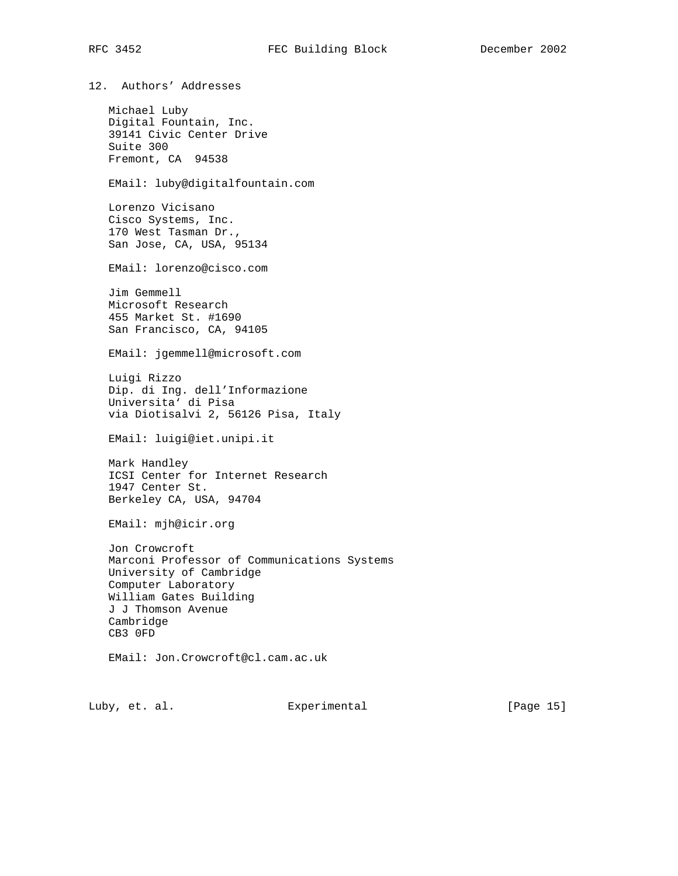12. Authors' Addresses Michael Luby Digital Fountain, Inc. 39141 Civic Center Drive Suite 300 Fremont, CA 94538 EMail: luby@digitalfountain.com Lorenzo Vicisano Cisco Systems, Inc. 170 West Tasman Dr., San Jose, CA, USA, 95134 EMail: lorenzo@cisco.com Jim Gemmell Microsoft Research 455 Market St. #1690 San Francisco, CA, 94105 EMail: jgemmell@microsoft.com Luigi Rizzo Dip. di Ing. dell'Informazione Universita' di Pisa via Diotisalvi 2, 56126 Pisa, Italy EMail: luigi@iet.unipi.it Mark Handley ICSI Center for Internet Research 1947 Center St. Berkeley CA, USA, 94704 EMail: mjh@icir.org Jon Crowcroft Marconi Professor of Communications Systems University of Cambridge Computer Laboratory William Gates Building J J Thomson Avenue Cambridge CB3 0FD EMail: Jon.Crowcroft@cl.cam.ac.uk

Luby, et. al. Experimental [Page 15]